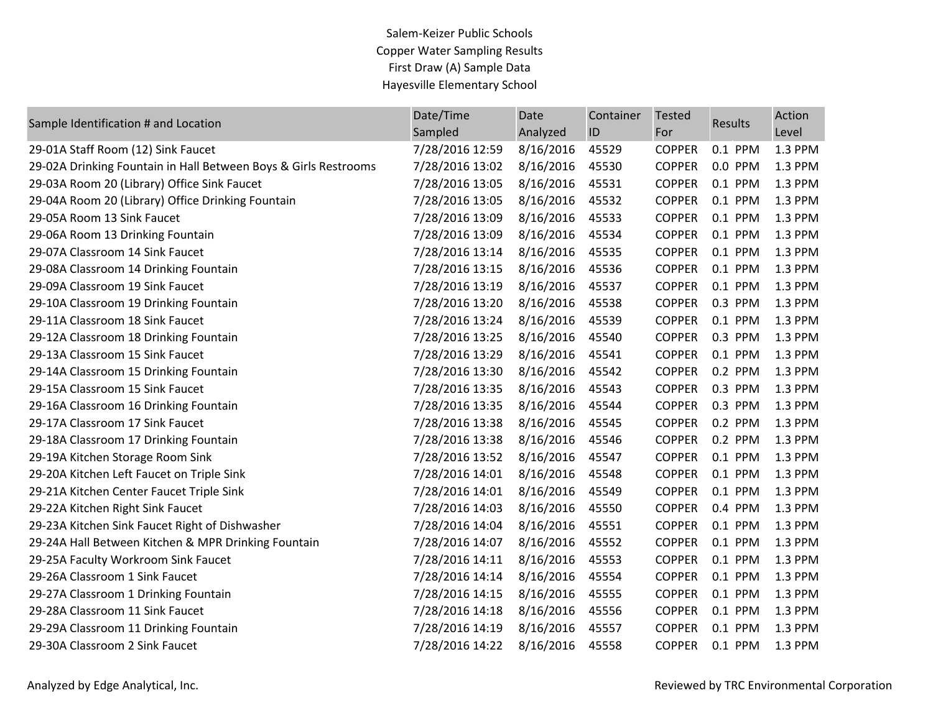## Salem-Keizer Public Schools Copper Water Sampling Results First Draw (A) Sample Data Hayesville Elementary School

| Sample Identification # and Location                            | Date/Time       | Date      | Container | <b>Tested</b> | Results | Action  |
|-----------------------------------------------------------------|-----------------|-----------|-----------|---------------|---------|---------|
|                                                                 | Sampled         | Analyzed  | ID        | For           |         | Level   |
| 29-01A Staff Room (12) Sink Faucet                              | 7/28/2016 12:59 | 8/16/2016 | 45529     | <b>COPPER</b> | 0.1 PPM | 1.3 PPM |
| 29-02A Drinking Fountain in Hall Between Boys & Girls Restrooms | 7/28/2016 13:02 | 8/16/2016 | 45530     | <b>COPPER</b> | 0.0 PPM | 1.3 PPM |
| 29-03A Room 20 (Library) Office Sink Faucet                     | 7/28/2016 13:05 | 8/16/2016 | 45531     | <b>COPPER</b> | 0.1 PPM | 1.3 PPM |
| 29-04A Room 20 (Library) Office Drinking Fountain               | 7/28/2016 13:05 | 8/16/2016 | 45532     | <b>COPPER</b> | 0.1 PPM | 1.3 PPM |
| 29-05A Room 13 Sink Faucet                                      | 7/28/2016 13:09 | 8/16/2016 | 45533     | <b>COPPER</b> | 0.1 PPM | 1.3 PPM |
| 29-06A Room 13 Drinking Fountain                                | 7/28/2016 13:09 | 8/16/2016 | 45534     | <b>COPPER</b> | 0.1 PPM | 1.3 PPM |
| 29-07A Classroom 14 Sink Faucet                                 | 7/28/2016 13:14 | 8/16/2016 | 45535     | <b>COPPER</b> | 0.1 PPM | 1.3 PPM |
| 29-08A Classroom 14 Drinking Fountain                           | 7/28/2016 13:15 | 8/16/2016 | 45536     | <b>COPPER</b> | 0.1 PPM | 1.3 PPM |
| 29-09A Classroom 19 Sink Faucet                                 | 7/28/2016 13:19 | 8/16/2016 | 45537     | <b>COPPER</b> | 0.1 PPM | 1.3 PPM |
| 29-10A Classroom 19 Drinking Fountain                           | 7/28/2016 13:20 | 8/16/2016 | 45538     | <b>COPPER</b> | 0.3 PPM | 1.3 PPM |
| 29-11A Classroom 18 Sink Faucet                                 | 7/28/2016 13:24 | 8/16/2016 | 45539     | <b>COPPER</b> | 0.1 PPM | 1.3 PPM |
| 29-12A Classroom 18 Drinking Fountain                           | 7/28/2016 13:25 | 8/16/2016 | 45540     | <b>COPPER</b> | 0.3 PPM | 1.3 PPM |
| 29-13A Classroom 15 Sink Faucet                                 | 7/28/2016 13:29 | 8/16/2016 | 45541     | <b>COPPER</b> | 0.1 PPM | 1.3 PPM |
| 29-14A Classroom 15 Drinking Fountain                           | 7/28/2016 13:30 | 8/16/2016 | 45542     | <b>COPPER</b> | 0.2 PPM | 1.3 PPM |
| 29-15A Classroom 15 Sink Faucet                                 | 7/28/2016 13:35 | 8/16/2016 | 45543     | <b>COPPER</b> | 0.3 PPM | 1.3 PPM |
| 29-16A Classroom 16 Drinking Fountain                           | 7/28/2016 13:35 | 8/16/2016 | 45544     | <b>COPPER</b> | 0.3 PPM | 1.3 PPM |
| 29-17A Classroom 17 Sink Faucet                                 | 7/28/2016 13:38 | 8/16/2016 | 45545     | <b>COPPER</b> | 0.2 PPM | 1.3 PPM |
| 29-18A Classroom 17 Drinking Fountain                           | 7/28/2016 13:38 | 8/16/2016 | 45546     | <b>COPPER</b> | 0.2 PPM | 1.3 PPM |
| 29-19A Kitchen Storage Room Sink                                | 7/28/2016 13:52 | 8/16/2016 | 45547     | <b>COPPER</b> | 0.1 PPM | 1.3 PPM |
| 29-20A Kitchen Left Faucet on Triple Sink                       | 7/28/2016 14:01 | 8/16/2016 | 45548     | <b>COPPER</b> | 0.1 PPM | 1.3 PPM |
| 29-21A Kitchen Center Faucet Triple Sink                        | 7/28/2016 14:01 | 8/16/2016 | 45549     | <b>COPPER</b> | 0.1 PPM | 1.3 PPM |
| 29-22A Kitchen Right Sink Faucet                                | 7/28/2016 14:03 | 8/16/2016 | 45550     | <b>COPPER</b> | 0.4 PPM | 1.3 PPM |
| 29-23A Kitchen Sink Faucet Right of Dishwasher                  | 7/28/2016 14:04 | 8/16/2016 | 45551     | <b>COPPER</b> | 0.1 PPM | 1.3 PPM |
| 29-24A Hall Between Kitchen & MPR Drinking Fountain             | 7/28/2016 14:07 | 8/16/2016 | 45552     | <b>COPPER</b> | 0.1 PPM | 1.3 PPM |
| 29-25A Faculty Workroom Sink Faucet                             | 7/28/2016 14:11 | 8/16/2016 | 45553     | <b>COPPER</b> | 0.1 PPM | 1.3 PPM |
| 29-26A Classroom 1 Sink Faucet                                  | 7/28/2016 14:14 | 8/16/2016 | 45554     | <b>COPPER</b> | 0.1 PPM | 1.3 PPM |
| 29-27A Classroom 1 Drinking Fountain                            | 7/28/2016 14:15 | 8/16/2016 | 45555     | <b>COPPER</b> | 0.1 PPM | 1.3 PPM |
| 29-28A Classroom 11 Sink Faucet                                 | 7/28/2016 14:18 | 8/16/2016 | 45556     | <b>COPPER</b> | 0.1 PPM | 1.3 PPM |
| 29-29A Classroom 11 Drinking Fountain                           | 7/28/2016 14:19 | 8/16/2016 | 45557     | <b>COPPER</b> | 0.1 PPM | 1.3 PPM |
| 29-30A Classroom 2 Sink Faucet                                  | 7/28/2016 14:22 | 8/16/2016 | 45558     | <b>COPPER</b> | 0.1 PPM | 1.3 PPM |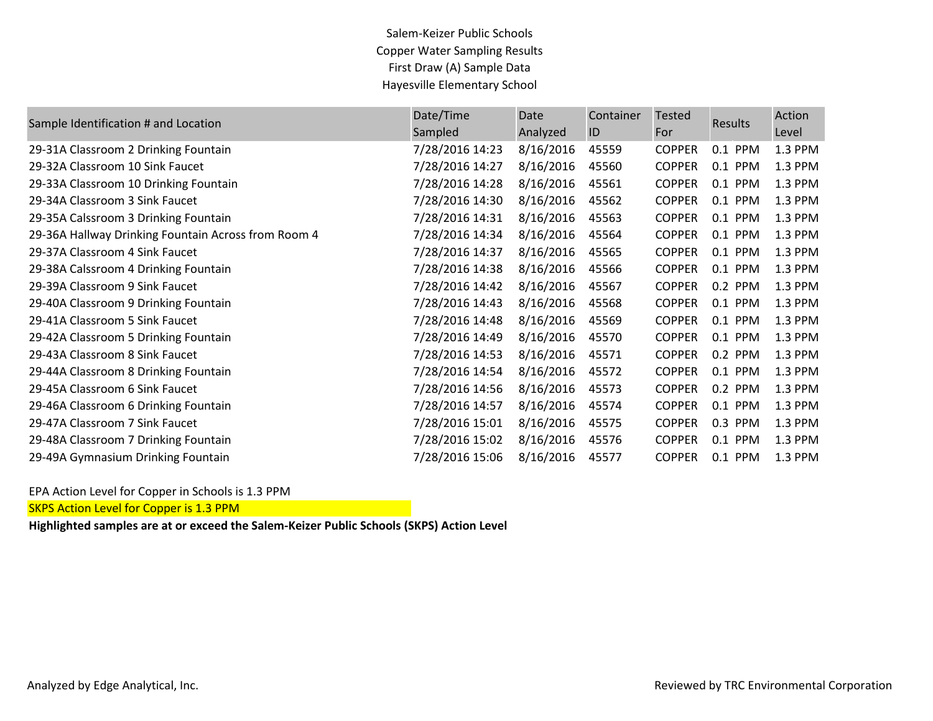## Salem-Keizer Public Schools Copper Water Sampling Results First Draw (A) Sample Data Hayesville Elementary School

| Sample Identification # and Location                | Date/Time       | Date      | Container | <b>Tested</b> | Results   | Action  |
|-----------------------------------------------------|-----------------|-----------|-----------|---------------|-----------|---------|
|                                                     | Sampled         | Analyzed  | ID        | For           |           | Level   |
| 29-31A Classroom 2 Drinking Fountain                | 7/28/2016 14:23 | 8/16/2016 | 45559     | <b>COPPER</b> | $0.1$ PPM | 1.3 PPM |
| 29-32A Classroom 10 Sink Faucet                     | 7/28/2016 14:27 | 8/16/2016 | 45560     | <b>COPPER</b> | 0.1 PPM   | 1.3 PPM |
| 29-33A Classroom 10 Drinking Fountain               | 7/28/2016 14:28 | 8/16/2016 | 45561     | <b>COPPER</b> | 0.1 PPM   | 1.3 PPM |
| 29-34A Classroom 3 Sink Faucet                      | 7/28/2016 14:30 | 8/16/2016 | 45562     | <b>COPPER</b> | 0.1 PPM   | 1.3 PPM |
| 29-35A Calssroom 3 Drinking Fountain                | 7/28/2016 14:31 | 8/16/2016 | 45563     | <b>COPPER</b> | $0.1$ PPM | 1.3 PPM |
| 29-36A Hallway Drinking Fountain Across from Room 4 | 7/28/2016 14:34 | 8/16/2016 | 45564     | <b>COPPER</b> | 0.1 PPM   | 1.3 PPM |
| 29-37A Classroom 4 Sink Faucet                      | 7/28/2016 14:37 | 8/16/2016 | 45565     | <b>COPPER</b> | 0.1 PPM   | 1.3 PPM |
| 29-38A Calssroom 4 Drinking Fountain                | 7/28/2016 14:38 | 8/16/2016 | 45566     | <b>COPPER</b> | 0.1 PPM   | 1.3 PPM |
| 29-39A Classroom 9 Sink Faucet                      | 7/28/2016 14:42 | 8/16/2016 | 45567     | <b>COPPER</b> | 0.2 PPM   | 1.3 PPM |
| 29-40A Classroom 9 Drinking Fountain                | 7/28/2016 14:43 | 8/16/2016 | 45568     | <b>COPPER</b> | 0.1 PPM   | 1.3 PPM |
| 29-41A Classroom 5 Sink Faucet                      | 7/28/2016 14:48 | 8/16/2016 | 45569     | <b>COPPER</b> | 0.1 PPM   | 1.3 PPM |
| 29-42A Classroom 5 Drinking Fountain                | 7/28/2016 14:49 | 8/16/2016 | 45570     | <b>COPPER</b> | 0.1 PPM   | 1.3 PPM |
| 29-43A Classroom 8 Sink Faucet                      | 7/28/2016 14:53 | 8/16/2016 | 45571     | <b>COPPER</b> | 0.2 PPM   | 1.3 PPM |
| 29-44A Classroom 8 Drinking Fountain                | 7/28/2016 14:54 | 8/16/2016 | 45572     | <b>COPPER</b> | 0.1 PPM   | 1.3 PPM |
| 29-45A Classroom 6 Sink Faucet                      | 7/28/2016 14:56 | 8/16/2016 | 45573     | <b>COPPER</b> | 0.2 PPM   | 1.3 PPM |
| 29-46A Classroom 6 Drinking Fountain                | 7/28/2016 14:57 | 8/16/2016 | 45574     | <b>COPPER</b> | 0.1 PPM   | 1.3 PPM |
| 29-47A Classroom 7 Sink Faucet                      | 7/28/2016 15:01 | 8/16/2016 | 45575     | <b>COPPER</b> | 0.3 PPM   | 1.3 PPM |
| 29-48A Classroom 7 Drinking Fountain                | 7/28/2016 15:02 | 8/16/2016 | 45576     | <b>COPPER</b> | 0.1 PPM   | 1.3 PPM |
| 29-49A Gymnasium Drinking Fountain                  | 7/28/2016 15:06 | 8/16/2016 | 45577     | <b>COPPER</b> | $0.1$ PPM | 1.3 PPM |

EPA Action Level for Copper in Schools is 1.3 PPM

**SKPS Action Level for Copper is 1.3 PPM** 

**Highlighted samples are at or exceed the Salem-Keizer Public Schools (SKPS) Action Level**